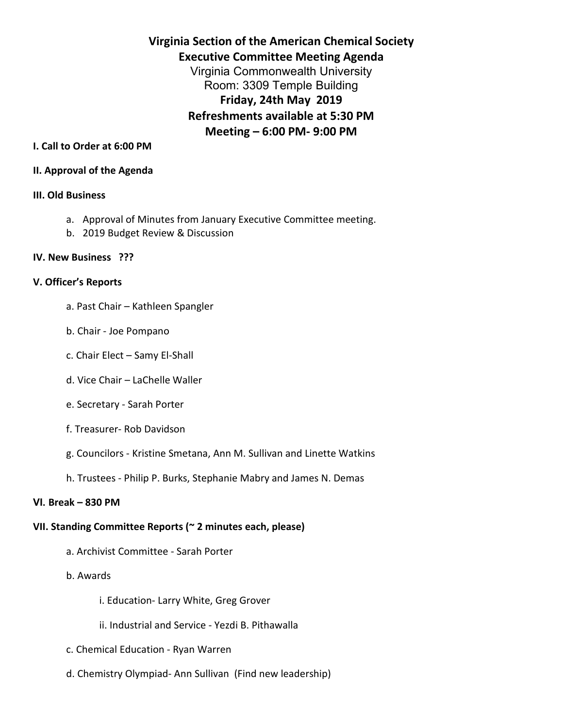**Virginia Section of the American Chemical Society Executive Committee Meeting Agenda** Virginia Commonwealth University Room: 3309 Temple Building **Friday, 24th May 2019 Refreshments available at 5:30 PM Meeting – 6:00 PM- 9:00 PM**

# **I. Call to Order at 6:00 PM**

### **II. Approval of the Agenda**

### **III. Old Business**

- a. Approval of Minutes from January Executive Committee meeting.
- b. 2019 Budget Review & Discussion

### **IV. New Business ???**

### **V. Officer's Reports**

- a. Past Chair Kathleen Spangler
- b. Chair Joe Pompano
- c. Chair Elect Samy El-Shall
- d. Vice Chair LaChelle Waller
- e. Secretary Sarah Porter
- f. Treasurer- Rob Davidson
- g. Councilors Kristine Smetana, Ann M. Sullivan and Linette Watkins
- h. Trustees Philip P. Burks, Stephanie Mabry and James N. Demas

## **VI. Break – 830 PM**

## **VII. Standing Committee Reports (~ 2 minutes each, please)**

- a. Archivist Committee Sarah Porter
- b. Awards
	- i. Education- Larry White, Greg Grover
	- ii. Industrial and Service Yezdi B. Pithawalla
- c. Chemical Education Ryan Warren
- d. Chemistry Olympiad- Ann Sullivan (Find new leadership)